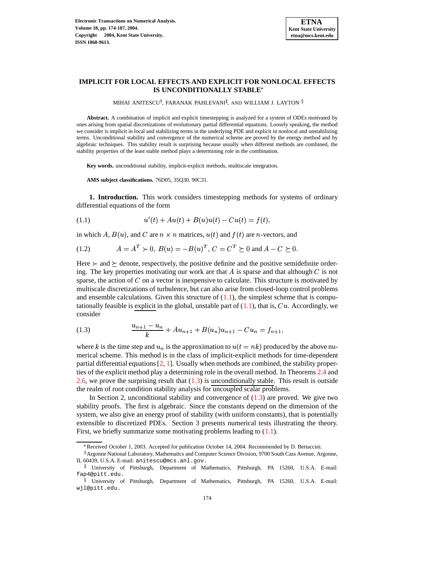

## **IMPLICIT FOR LOCAL EFFECTS AND EXPLICIT FOR NONLOCAL EFFECTS IS UNCONDITIONALLY STABLE**

MIHAI ANITESCU<sup>†</sup>, FARANAK PAHLEVANI<sup>‡</sup>, AND WILLIAM J. LAYTON <sup>§</sup>

**Abstract.** A combination of implicit and explicit timestepping is analyzed for a system of ODEs motivated by ones arising from spatial discretizations of evolutionary partial differential equations. Loosely speaking, the method we consider is implicit in local and stabilizing terms in the underlying PDE and explicit in nonlocal and unstabilizing terms. Unconditional stability and convergence of the numerical scheme are proved by the energy method and by algebraic techniques. This stability result is surprising because usually when different methods are combined, the stability properties of the least stable method plays a determining role in the combination.

**Key words.** unconditional stability, implicit-explicit methods, multiscale integration.

<span id="page-0-2"></span><span id="page-0-0"></span>**AMS subject classifications.** 76D05, 35Q30, 90C31.

**1. Introduction.** This work considers timestepping methods for systems of ordinary differential equations of the form

(1.1) 
$$
u'(t) + Au(t) + B(u)u(t) - Cu(t) = f(t),
$$

in which A,  $B(u)$ , and C are  $n \times n$  matrices,  $u(t)$  and  $f(t)$  are *n*-vectors, and

$$
(1.2) \tA = AT \succ 0, B(u) = -B(u)T, C = CT \succeq 0 \text{ and } A - C \succeq 0.
$$

Here  $\succ$  and  $\succeq$  denote, respectively, the positive definite and the positive semidefinite ordering. The key properties motivating our work are that  $A$  is sparse and that although  $C$  is not sparse, the action of  $C$  on a vector is inexpensive to calculate. This structure is motivated by multiscale discretizations of turbulence, but can also arise from closed-loop control problems and ensemble calculations. Given this structure of  $(1.1)$ , the simplest scheme that is computationally feasible is explicit in the global, unstable part of  $(1.1)$ , that is,  $Cu$ . Accordingly, we consider

<span id="page-0-1"></span>(1.3) 
$$
\frac{u_{n+1} - u_n}{k} + Au_{n+1} + B(u_n)u_{n+1} - Cu_n = f_{n+1},
$$

where k is the time step and  $u_n$  is the approximation to  $u(t = nk)$  produced by the above numerical scheme. This method is in the class of implicit-explicit methods for time-dependent partial differential equations [\[2,](#page-13-0) [1\]](#page-13-1). Usually when methods are combined, the stability properties of the explicit method play a determining role in the overall method. In Theorems [2.4](#page-2-0) and [2.6,](#page-4-0) we prove the surprising result that  $(1.3)$  is unconditionally stable. This result is outside the realm of root condition stability analysis for uncoupled scalar problems.

In Section 2, unconditional stability and convergence of  $(1.3)$  are proved. We give two stability proofs. The first is algebraic. Since the constants depend on the dimension of the system, we also give an energy proof of stability (with uniform constants), that is potentially extensible to discretized PDEs. Section 3 presents numerical tests illustrating the theory. First, we briefly summarize some motivating problems leading to  $(1.1)$ .

<sup>&</sup>lt; Received October 1, 2003. Accepted for publication October 14, 2004. Recommended by D. Bertaccini.

<sup>&</sup>lt;sup>†</sup> Argonne National Laboratory, Mathematics and Computer Science Division, 9700 South Cass Avenue, Argonne, IL 60439, U.S.A. E-mail: anitescu@mcs.anl.gov.

<sup>-</sup> University of Pittsburgh, Department of Mathematics, Pittsburgh, PA 15260, U.S.A. E-mail: fap4@pitt.edu.

University of Pittsburgh, Department of Mathematics, Pittsburgh, PA 15260, U.S.A. E-mail: wjl@pitt.edu.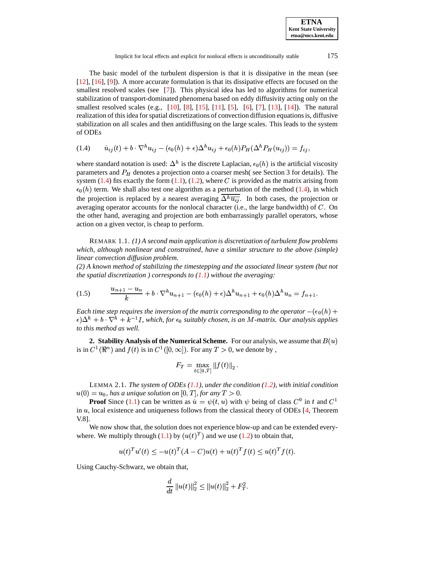| <b>ETNA</b>                  |
|------------------------------|
| <b>Kent State University</b> |
| etna@mcs.kent.edu            |

The basic model of the turbulent dispersion is that it is dissipative in the mean (see [\[12\]](#page-13-2), [\[16\]](#page-13-3), [\[9\]](#page-13-4)). A more accurate formulation is that its dissipative effects are focused on the smallest resolved scales (see [\[7\]](#page-13-5)). This physical idea has led to algorithms for numerical stabilization of transport-dominated phenomena based on eddy diffusivity acting only on the smallest resolved scales (e.g., [\[10\]](#page-13-6), [\[8\]](#page-13-7), [\[15\]](#page-13-8), [\[11\]](#page-13-9), [\[5\]](#page-13-10), [\[6\]](#page-13-11), [\[7\]](#page-13-5), [\[13\]](#page-13-12), [\[14\]](#page-13-13)). The natural realization of this idea forspatial discretizations of convection diffusion equationsis, diffusive stabilization on all scales and then antidiffusing on the large scales. This leads to the system of ODEs

<span id="page-1-0"></span>(1.4) - -  1 -  1 - -

where standard notation is used:  $\Delta^h$  is the discrete Laplacian,  $\epsilon_0(h)$  is the artificial viscosity parameters and  $P_H$  denotes a projection onto a coarser mesh( see Section 3 for details). The system  $(1.4)$  fits exactly the form  $(1.1)$ ,  $(1.2)$ , where C is provided as the matrix arising from  $\epsilon_0(h)$  term. We shall also test one algorithm as a perturbation of the method [\(1.4\)](#page-1-0), in which the projection is replaced by a nearest averaging  $\Delta^h \overline{u_{ij}}$ . In both cases, the projection or averaging operator accounts for the nonlocal character (i.e., the large bandwidth) of  $C$ . On the other hand, averaging and projection are both embarrassingly parallel operators, whose action on a given vector, is cheap to perform.

REMARK 1.1. *(1) A second main application is discretization of turbulent flow problems which, although nonlinear and constrained, have a similar structure to the above (simple) linear convection diffusion problem.*

*(2) A known method of stabilizing the timestepping and the associated linear system (but not the spatial discretization ) corresponds to [\(1.1\)](#page-0-0) without the averaging:*

$$
(1.5) \qquad \frac{u_{n+1} - u_n}{k} + b \cdot \nabla^h u_{n+1} - (\epsilon_0(h) + \epsilon) \Delta^h u_{n+1} + \epsilon_0(h) \Delta^h u_n = f_{n+1}.
$$

*Each time step requires the inversion of the matrix corresponding to the operator*  $-(\epsilon_0(h) +$  $\epsilon$ ) $\Delta^h$  +  $b$   $\cdot \nabla^h$  +  $k^{-1}$ *I*, which, for  $\epsilon_0$  suitably chosen, is an M-matrix. Our analysis applies *to this method as well.*

**2. Stability Analysis of the Numerical Scheme.** For our analysis, we assume that  $B(u)$ is in  $C^1(\mathbb{R}^n)$  and  $f(t)$  is in  $C^1([0,\infty])$ . For any  $T > 0$ , we denote by,

$$
F_T = \max_{t \in [0,T]} \|f(t)\|_2 \,.
$$

<span id="page-1-1"></span>LEMMA 2.1. *The system of ODEs [\(1.1\)](#page-0-0), under the condition [\(1.2\)](#page-0-2), with initial condition*  $u(0) = u_0$ , has a unique solution on  $[0, T]$ , for any  $T > 0$ .

**Proof** Since [\(1.1\)](#page-0-0) can be written as  $\dot{u} = \psi(t, u)$  with  $\psi$  being of class  $C^0$  in t and  $C^1$ in  $u$ , local existence and uniqueness follows from the classical theory of ODEs  $[4,$  Theorem V.8].

We now show that, the solution does not experience blow-up and can be extended everywhere. We multiply through  $(1.1)$  by  $(u(t)^T)$  and we use  $(1.2)$  to obtain that,

$$
u(t)^T u'(t) \le -u(t)^T (A - C)u(t) + u(t)^T f(t) \le u(t)^T f(t).
$$

Using Cauchy-Schwarz, we obtain that,

$$
\frac{d}{dt} \|u(t)\|_2^2 \le \|u(t)\|_2^2 + F_T^2.
$$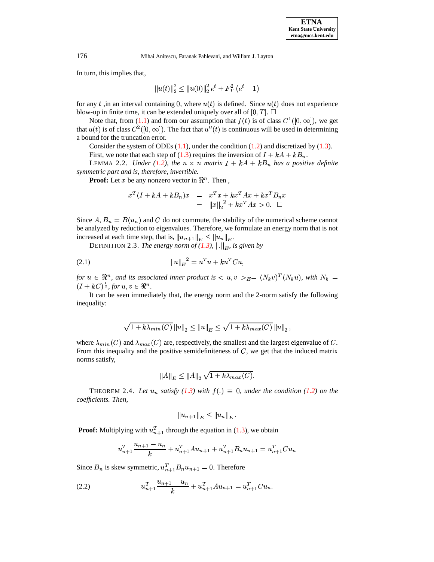In turn, this implies that,

$$
\left\|u(t)\right\|_2^2 \leq \left\|u(0)\right\|_2^2 e^t + F_T^2\left(e^t - 1\right)
$$

for any t, in an interval containing 0, where  $u(t)$  is defined. Since  $u(t)$  does not experience blow-up in finite time, it can be extended uniquely over all of  $[0, T]$ .  $\Box$ 

Note that, from [\(1.1\)](#page-0-0) and from our assumption that  $f(t)$  is of class  $C^1([0,\infty])$ , we get that  $u(t)$  is of class  $C^2([0,\infty])$ . The fact that  $u''(t)$  is continuous will be used in determining a bound for the truncation error.

Consider the system of ODEs  $(1.1)$ , under the condition  $(1.2)$  and discretized by  $(1.3)$ .

First, we note that each step of [\(1.3\)](#page-0-1) requires the inversion of  $I + kA + kB_n$ .

LEMMA 2.2. *Under* [\(1.2\)](#page-0-2), the  $n \times n$  matrix  $I + kA + kB_n$  has a positive definite *symmetric part and is, therefore, invertible.*

**Proof:** Let x be any nonzero vector in  $\mathbb{R}^n$ . Then,

<span id="page-2-1"></span>
$$
x^T(I + kA + kB_n)x = x^Tx + kx^T Ax + kx^T B_n x
$$
  
=  $||x||_2^2 + kx^T Ax > 0.$ 

Since A,  $B_n = B(u_n)$  and C do not commute, the stability of the numerical scheme cannot be analyzed by reduction to eigenvalues. Therefore, we formulate an energy norm that is not increased at each time step, that is,  $||u_{n+1}||_E \le ||u_n||_E$ .

DEFINITION 2.3. *The energy norm of [\(1.3\)](#page-0-1),*  $\|.\|_E$ , is given by

(2.1) 
$$
||u||_E^2 = u^T u + k u^T C u,
$$

for  $u \in \mathbb{R}^n$ , and its associated inner product is  $\langle u, v \rangle_{E} = (N_k v)^T (N_k u)$ , with  $N_k =$  $(I + kC)^{\frac{1}{2}}$ , for  $u, v \in \mathbb{R}^n$ .

It can be seen immediately that, the energy norm and the 2-norm satisfy the following inequality:

$$
\sqrt{1 + k\lambda_{min}(C)} ||u||_2 \le ||u||_E \le \sqrt{1 + k\lambda_{max}(C)} ||u||_2,
$$

where  $\lambda_{min}(C)$  and  $\lambda_{max}(C)$  are, respectively, the smallest and the largest eigenvalue of C. From this inequality and the positive semidefiniteness of  $C$ , we get that the induced matrix norms satisfy,

$$
||A||_E \le ||A||_2 \sqrt{1 + k \lambda_{max}(C)}.
$$

<span id="page-2-0"></span>THEOREM 2.4. Let  $u_n$  satisfy [\(1.3\)](#page-0-1) with  $f(.) \equiv 0$ , under the condition [\(1.2\)](#page-0-2) on the *coefficients. Then,*

$$
||u_{n+1}||_E \leq ||u_n||_E.
$$

**Proof:** Multiplying with  $u_{n+1}^T$  through the equation in [\(1.3\)](#page-0-1), we obtain

$$
u_{n+1}^T \frac{u_{n+1} - u_n}{k} + u_{n+1}^T A u_{n+1} + u_{n+1}^T B_n u_{n+1} = u_{n+1}^T C u_n
$$

Since  $B_n$  is skew symmetric,  $u_{n+1}^T B_n u_{n+1} = 0$ . Therefore

(2.2) 
$$
u_{n+1}^T \frac{u_{n+1} - u_n}{k} + u_{n+1}^T A u_{n+1} = u_{n+1}^T C u_n.
$$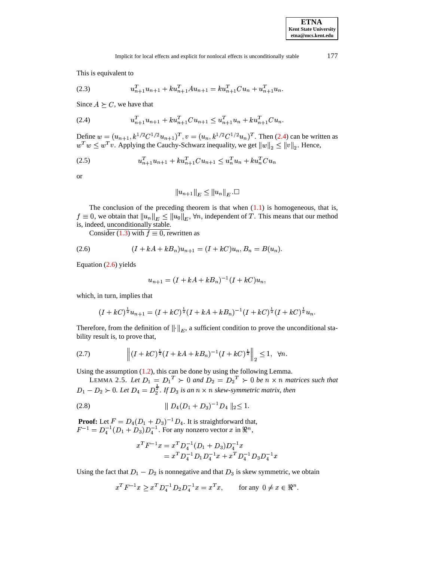This is equivalent to

<span id="page-3-0"></span>(2.3) 
$$
u_{n+1}^T u_{n+1} + k u_{n+1}^T A u_{n+1} = k u_{n+1}^T C u_n + u_{n+1}^T u_n.
$$

Since  $A \succeq C$ , we have that

$$
(2.4) \t u_{n+1}^T u_{n+1} + k u_{n+1}^T C u_{n+1} \leq u_{n+1}^T u_n + k u_{n+1}^T C u_n.
$$

Define  $w = (u_{n+1}, k^{1/2}C^{1/2}u_{n+1})^T$ ,  $v = (u_n, k^{1/2}C^{1/2}u_n)^T$ . Then [\(2.4\)](#page-3-0) can be written as  $w^T w \leq w^T v$ . Applying the Cauchy-Schwarz inequality, we get  $||w||_2 \leq ||v||_2$ . Hence,

$$
(2.5) \t u_{n+1}^T u_{n+1} + k u_{n+1}^T C u_{n+1} \leq u_n^T u_n + k u_n^T C u_n
$$

or

<span id="page-3-1"></span>
$$
||u_{n+1}||_E \le ||u_n||_E \Box
$$

The conclusion of the preceding theorem is that when  $(1.1)$  is homogeneous, that is,  $f \equiv 0$ , we obtain that  $\|u_n\|_E \leq \|u_0\|_E$ ,  $\forall n$ , independent of  $T$ . This means that our method is, indeed, unconditionally stable.

Consider [\(1.3\)](#page-0-1) with  $f \equiv 0$ , rewritten as

$$
(2.6) \t\t\t (I + kA + kB_n)u_{n+1} = (I + kC)u_n, B_n = B(u_n).
$$

Equation [\(2.6\)](#page-3-1) yields

$$
u_{n+1} = (I + kA + kB_n)^{-1}(I + kC)u_n,
$$

which, in turn, implies that

<span id="page-3-2"></span>
$$
(I + kC)^{\frac{1}{2}}u_{n+1} = (I + kC)^{\frac{1}{2}}(I + kA + kB_n)^{-1}(I + kC)^{\frac{1}{2}}(I + kC)^{\frac{1}{2}}u_n.
$$

Therefore, from the definition of  $\|\cdot\|_E$ , a sufficient condition to prove the unconditional stability result is, to prove that,

(2.7) 
$$
\left\| (I + kC)^{\frac{1}{2}} (I + kA + kB_n)^{-1} (I + kC)^{\frac{1}{2}} \right\|_2 \le 1, \ \forall n.
$$

<span id="page-3-3"></span>Using the assumption  $(1.2)$ , this can be done by using the following Lemma.

LEMMA 2.5. Let  $D_1 = D_1^T \succ 0$  and  $D_2 = D_2^T \succ 0$  be  $n \times n$  matrices such that  $D_1 - D_2 \succ 0$ . Let  $D_4 = D_2^{\frac{1}{2}}$ . If  $D_3$  is an  $n \times n$  skew-symmetric matrix, then

$$
(2.8) \t\t\t || D_4(D_1 + D_3)^{-1}D_4 ||_2 \le 1.
$$

**Proof:** Let  $F = D_4(D_1 + D_3)^{-1}D_4$ . It is straightforward that,<br> $F^{-1} = D_4^{-1}(D_1 + D_3)D_4^{-1}$ . For any nonzero vector x in  $\mathbb{R}^n$ ,

$$
\begin{aligned} x^T F^{-1} x &= x^T D_4^{-1} (D_1 + D_3) D_4^{-1} x \\ &= x^T D_4^{-1} D_1 D_4^{-1} x + x^T D_4^{-1} D_3 D_4^{-1} x \end{aligned}
$$

Using the fact that  $D_1 - D_2$  is nonnegative and that  $D_3$  is skew symmetric, we obtain

$$
x^T F^{-1} x \ge x^T D_4^{-1} D_2 D_4^{-1} x = x^T x, \qquad \text{for any } 0 \ne x \in \Re^n.
$$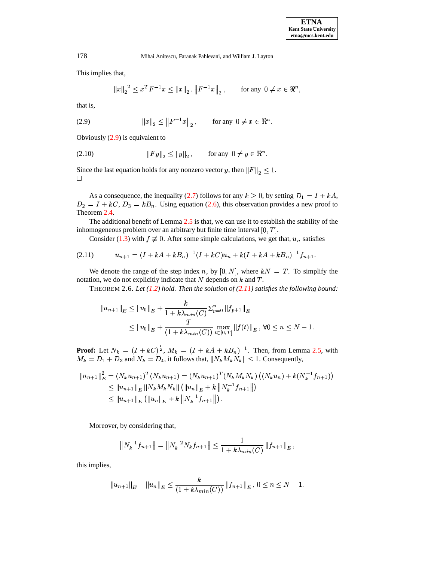This implies that,

$$
||x||_2^2 \le x^T F^{-1} x \le ||x||_2
$$
.  $||F^{-1}x||_2$ , for any  $0 \ne x \in \Re^n$ ,

<span id="page-4-1"></span>that is,

(2.9) 
$$
||x||_2 \le ||F^{-1}x||_2
$$
, for any  $0 \ne x \in \mathbb{R}^n$ .

Obviously [\(2.9\)](#page-4-1) is equivalent to

(2.10) 
$$
||Fy||_2 \le ||y||_2
$$
, for any  $0 \neq y \in \mathbb{R}^n$ .

Since the last equation holds for any nonzero vector y, then  $||F||_2 \leq 1$ .  $\Box$ 

As a consequence, the inequality [\(2.7\)](#page-3-2) follows for any  $k \geq 0$ , by setting  $D_1 = I + kA$ ,  $D_2 = I + kC$ ,  $D_3 = kB_n$ . Using equation [\(2.6\)](#page-3-1), this observation provides a new proof to Theorem [2.4.](#page-2-0)

The additional benefit of Lemma [2.5](#page-3-3) is that, we can use it to establish the stability of the inhomogeneous problem over an arbitrary but finite time interval  $[0, T]$ .

<span id="page-4-2"></span>Consider [\(1.3\)](#page-0-1) with  $f \neq 0$ . After some simple calculations, we get that,  $u_n$  satisfies

$$
(2.11) \t u_{n+1} = (I + kA + kB_n)^{-1}(I + kC)u_n + k(I + kA + kB_n)^{-1}f_{n+1}.
$$

<span id="page-4-0"></span>We denote the range of the step index n, by  $[0, N]$ , where  $kN = T$ . To simplify the notation, we do not explicitly indicate that  $N$  depends on  $k$  and  $T$ .

THEOREM 2.6. *Let [\(1.2\)](#page-0-2) hold. Then the solution of [\(2.11\)](#page-4-2) satisfies the following bound:*

$$
||u_{n+1}||_E \le ||u_0||_E + \frac{k}{1 + k\lambda_{min}(C)} \Sigma_{p=0}^n ||f_{p+1}||_E
$$
  
 
$$
\le ||u_0||_E + \frac{T}{(1 + k\lambda_{min}(C))} \max_{t \in [0,T]} ||f(t)||_E, \forall 0 \le n \le N - 1.
$$

**Proof:** Let  $N_k = (I + kC)^{\frac{1}{2}}$ ,  $M_k = (I + kA + kB_n)^{-1}$ . Then, from Lemma [2.5,](#page-3-3) with  $M_k = D_1 + D_3$  and  $N_k = D_4$ , it follows that,  $||N_k M_k N_k|| \leq 1$ . Consequently,

$$
||n_{n+1}||_E^2 = (N_k u_{n+1})^T (N_k u_{n+1}) = (N_k u_{n+1})^T (N_k M_k N_k) ((N_k u_n) + k(N_k^{-1} f_{n+1}))
$$
  
\n
$$
\leq ||u_{n+1}||_E ||N_k M_k N_k|| (||u_n||_E + k ||N_k^{-1} f_{n+1}||)
$$
  
\n
$$
\leq ||u_{n+1}||_E (||u_n||_E + k ||N_k^{-1} f_{n+1}||).
$$

Moreover, by considering that,

$$
\left\|N_k^{-1}f_{n+1}\right\| = \left\|N_k^{-2}N_kf_{n+1}\right\| \le \frac{1}{1 + k\lambda_{\min}(C)}\left\|f_{n+1}\right\|_E,
$$

this implies,

$$
||u_{n+1}||_E - ||u_n||_E \le \frac{k}{(1 + k\lambda_{min}(C))} ||f_{n+1}||_E, 0 \le n \le N - 1.
$$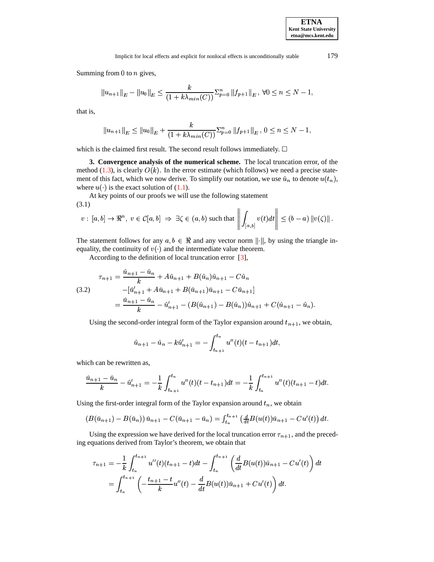Summing from  $0$  to  $n$  gives,

$$
||u_{n+1}||_E - ||u_0||_E \le \frac{k}{(1 + k\lambda_{min}(C))} \sum_{p=0}^n ||f_{p+1}||_E, \forall 0 \le n \le N-1,
$$

that is,

<span id="page-5-0"></span>
$$
||u_{n+1}||_E \le ||u_0||_E + \frac{k}{(1 + k\lambda_{min}(C))} \sum_{p=0}^n ||f_{p+1}||_E, \ 0 \le n \le N-1,
$$

which is the claimed first result. The second result follows immediately.  $\Box$ 

**3. Convergence analysis of the numerical scheme.** The local truncation error, of the method [\(1.3\)](#page-0-1), is clearly  $O(k)$ . In the error estimate (which follows) we need a precise statement of this fact, which we now derive. To simplify our notation, we use  $\hat{u}_n$  to denote  $u(t_n)$ , where  $u(\cdot)$  is the exact solution of [\(1.1\)](#page-0-0).

At key points of our proofs we will use the following statement

(3.1)  

$$
v: [a, b] \to \Re^n, v \in \mathcal{C}[a, b] \implies \exists \zeta \in (a, b) \text{ such that } \left\| \int_{[a, b]} v(t) dt \right\| \le (b - a) \|v(\zeta)\|.
$$

The statement follows for any  $a, b \in \Re$  and any vector norm ||·||, by using the triangle inequality, the continuity of  $v(\cdot)$  and the intermediate value theorem.

According to the definition of local truncation error [\[3\]](#page-13-15),

$$
\tau_{n+1} = \frac{\hat{u}_{n+1} - \hat{u}_n}{k} + A\hat{u}_{n+1} + B(\hat{u}_n)\hat{u}_{n+1} - C\hat{u}_n
$$
\n
$$
(3.2) \qquad -[\hat{u}'_{n+1} + A\hat{u}_{n+1} + B(\hat{u}_{n+1})\hat{u}_{n+1} - C\hat{u}_{n+1}]
$$
\n
$$
= \frac{\hat{u}_{n+1} - \hat{u}_n}{k} - \hat{u}'_{n+1} - (B(\hat{u}_{n+1}) - B(\hat{u}_n))\hat{u}_{n+1} + C(\hat{u}_{n+1} - \hat{u}_n).
$$

Using the second-order integral form of the Taylor expansion around  $t_{n+1}$ , we obtain,

$$
\hat{u}_{n+1} - \hat{u}_n - k\hat{u}'_{n+1} = -\int_{t_{n+1}}^{t_n} u''(t)(t - t_{n+1})dt,
$$

which can be rewritten as,

$$
\frac{\hat{u}_{n+1} - \hat{u}_n}{k} - \hat{u}'_{n+1} = -\frac{1}{k} \int_{t_{n+1}}^{t_n} u''(t)(t - t_{n+1}) dt = -\frac{1}{k} \int_{t_n}^{t_{n+1}} u''(t)(t_{n+1} - t) dt.
$$

Using the first-order integral form of the Taylor expansion around  $t_n$ , we obtain

$$
(B(\hat{u}_{n+1}) - B(\hat{u}_n)) \hat{u}_{n+1} - C(\hat{u}_{n+1} - \hat{u}_n) = \int_{t_n}^{t_{n+1}} \left( \frac{d}{dt} B(u(t)) \hat{u}_{n+1} - Cu'(t) \right) dt.
$$

Using the expression we have derived for the local truncation error  $\tau_{n+1}$ , and the preceding equations derived from Taylor's theorem, we obtain that

$$
\tau_{n+1} = -\frac{1}{k} \int_{t_n}^{t_{n+1}} u''(t)(t_{n+1} - t)dt - \int_{t_n}^{t_{n+1}} \left(\frac{d}{dt}B(u(t))\hat{u}_{n+1} - Cu'(t)\right)dt
$$
  
= 
$$
\int_{t_n}^{t_{n+1}} \left(-\frac{t_{n+1} - t}{k}u''(t) - \frac{d}{dt}B(u(t))\hat{u}_{n+1} + Cu'(t)\right)dt.
$$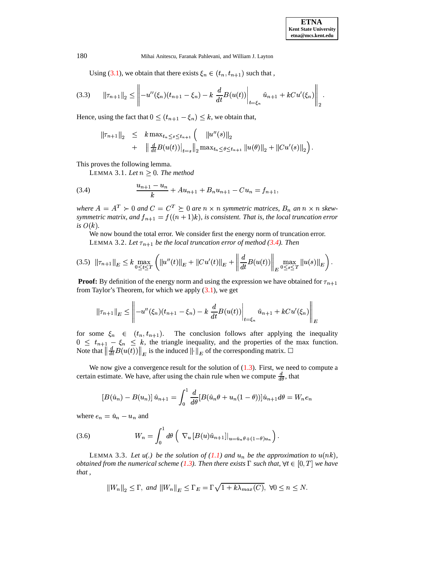Using [\(3.1\)](#page-5-0), we obtain that there exists  $\xi_n \in (t_n, t_{n+1})$  such that,

$$
(3.3) \qquad \|\tau_{n+1}\|_2 \le \left\| -u''(\xi_n)(t_{n+1}-\xi_n) - k \frac{d}{dt} B(u(t)) \right\|_{t=\xi_n} \hat{u}_{n+1} + k C u'(\xi_n) \right\|_2.
$$

Hence, using the fact that  $0 \leq (t_{n+1} - \xi_n) \leq k$ , we obtain that,

<span id="page-6-0"></span>
$$
\begin{array}{rcl}\n\|\tau_{n+1}\|_2 & \leq & k \max_{t_n \leq s \leq t_{n+1}} \left( \quad \|u''(s)\|_2 \right. \\
& & \qquad + & \left\| \frac{d}{dt} B(u(t)) \right|_{t=s} \left\| \frac{1}{2} \max_{t_n \leq \theta \leq t_{n+1}} \|u(\theta)\|_2 + \|Cu'(s)\|_2 \right). \n\end{array}
$$

This proves the following lemma.

LEMMA 3.1. Let  $n \geq 0$ . The method

<span id="page-6-4"></span><span id="page-6-3"></span>the contract of the contract of the contract of the contract of the contract of

(3.4) 
$$
\frac{u_{n+1} - u_n}{k} + Au_{n+1} + B_n u_{n+1} - C u_n = f_{n+1},
$$

where  $A = A^T \succ 0$  and  $C = C^T \succeq 0$  are  $n \times n$  symmetric matrices,  $B_n$  an  $n \times n$  skewsymmetric matrix, and  $f_{n+1} = f((n+1)k)$ , is consistent. That is, the local truncation error *is*  $O(k)$ .

We now bound the total error. We consider first the energy norm of truncation error. LEMMA 3.2. Let  $\tau_{n+1}$  be the local truncation error of method [\(3.4\)](#page-6-0). Then

$$
(3.5) \|\tau_{n+1}\|_{E} \leq k \max_{0 \leq t \leq T} \left( \|u''(t)\|_{E} + \|Cu'(t)\|_{E} + \left\| \frac{d}{dt} B(u(t)) \right\|_{E} \max_{0 \leq s \leq T} \|u(s)\|_{E} \right).
$$

**Proof:** By definition of the energy norm and using the expression we have obtained for  $\tau_{n+1}$ from Taylor's Theorem, for which we apply  $(3.1)$ , we get

$$
\|\tau_{n+1}\|_{E} \le \left\|-u''(\xi_n)(t_{n+1}-\xi_n)-k\left.\frac{d}{dt}B(u(t))\right|_{t=\xi_n}\hat{u}_{n+1}+kCu'(\xi_n)\right\|_{E}
$$

for some  $\xi_n \in (t_n, t_{n+1})$ . The conclusion follows after applying the inequality  $0 \leq t_{n+1} - \xi_n \leq k$ , the triangle inequality, and the properties of the max function. Note that  $\left\|\frac{d}{dt}B(u(t))\right\|_E$  is the induced  $\left\|\cdot\right\|_E$  of the corresponding matrix.  $\Box$ 

We now give a convergence result for the solution of  $(1.3)$ . First, we need to compute a certain estimate. We have, after using the chain rule when we compute  $\frac{d}{d\theta}$ , that

<span id="page-6-1"></span>
$$
[B(\hat{u}_n) - B(u_n)] \hat{u}_{n+1} = \int_0^1 \frac{d}{d\theta} [B(\hat{u}_n\theta + u_n(1-\theta))] \hat{u}_{n+1} d\theta = W_n e_n
$$

where  $e_n = \hat{u}_n - u_n$  and

(3.6) 
$$
W_n = \int_0^1 d\theta \left( \nabla_u \left[ B(u)\hat{u}_{n+1} \right] \big|_{u = \hat{u}_n \theta + (1-\theta)u_n} \right).
$$

<span id="page-6-2"></span>LEMMA 3.3. Let  $u(.)$  be the solution of  $(1.1)$  and  $u_n$  be the approximation to  $u(nk)$ , *obtained from the numerical scheme* [\(1.3\)](#page-0-1). Then there exists  $\Gamma$  such that,  $\forall t \in [0, T]$  we have *that ,*

$$
||W_n||_2 \leq \Gamma, \text{ and } ||W_n||_E \leq \Gamma_E = \Gamma \sqrt{1 + k \lambda_{max}(C)}, \ \forall 0 \leq n \leq N.
$$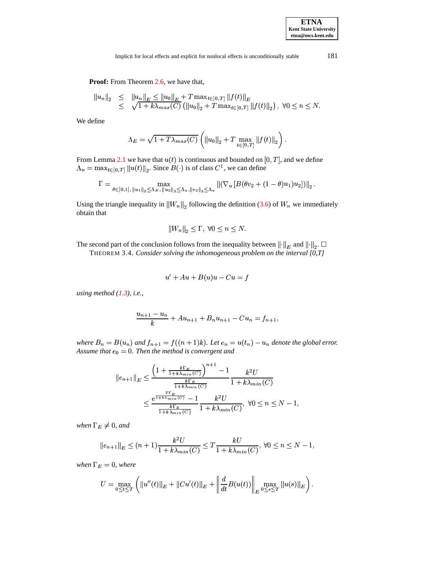**ETNA Kent State University etna@mcs.kent.edu**

Implicit for local effects and explicit for nonlocal effects is unconditionally stable 181

Proof: From Theorem [2.6,](#page-4-0) we have that,

$$
||u_n||_2 \leq ||u_n||_E \leq ||u_0||_E + T \max_{t \in [0,T]} ||f(t)||_E
$$
  
 
$$
\leq \sqrt{1 + k \lambda_{max}(C)} (||u_0||_2 + T \max_{t \in [0,T]} ||f(t)||_2), \ \forall 0 \leq n \leq N.
$$

We define

$$
\Lambda_E = \sqrt{1 + T\lambda_{max}(C)} \left( ||u_0||_2 + T \max_{t \in [0,T]} ||f(t)||_2 \right).
$$

From Lemma [2.1](#page-1-1) we have that  $u(t)$  is continuous and bounded on  $[0, T]$ , and we define  $\mathcal{L}_u = \max_{t \in [0,T]} \|u(t)\|_2$ . Since  $B(\cdot)$  is of class  $C^1$ , we can define

$$
\Gamma = \max_{\theta \in [0,1], \|u_1\|_2 \leq \Lambda_E, \|u_2\|_2 \leq \Lambda_u, \|v_2\|_2 \leq \Lambda_u} \| (\nabla_u [B(\theta v_2 + (1-\theta) u_1) u_2]) \|_2.
$$

Using the triangle inequality in  $||W_n||_2$  following the definition [\(3.6\)](#page-6-1) of  $W_n$  we immediately obtain that

$$
||W_n||_2 \le \Gamma, \ \forall 0 \le n \le N.
$$

The second part of the conclusion follows from the inequality between  $\left\| \cdot \right\|_E$  and  $\left\Vert \cdot\right\Vert _{E}$  and  $\left\Vert \cdot\right\Vert _{2}$ .  $\square$ 

THEOREM 3.4. *Consider solving the inhomogeneous problem on the interval [0,T]*

$$
u' + Au + B(u)u - Cu = f
$$

*using method [\(1.3\)](#page-0-1), i.e.,*

$$
\frac{u_{n+1} - u_n}{k} + Au_{n+1} + B_n u_{n+1} - Cu_n = f_{n+1},
$$

where  $B_n = B(u_n)$  and  $f_{n+1} = f((n+1)k)$ . Let  $e_n = u(t_n) - u_n$  denote the global error. Assume that  $e_0 = 0$ . Then the method is convergent and

$$
||e_{n+1}||_E \le \frac{\left(1 + \frac{k\Gamma_E}{1 + k\lambda_{min}(C)}\right)^{n+1} - 1}{\frac{k\Gamma_E}{1 + k\lambda_{min}(C)}} \frac{k^2 U}{1 + k\lambda_{min}(C)}
$$
  

$$
\le \frac{e^{\frac{T\Gamma_E}{1 + k\lambda_{min}(C)}} - 1}{\frac{k\Gamma_E}{1 + k\lambda_{min}(C)}} \frac{k^2 U}{1 + k\lambda_{min}(C)}, \ \forall 0 \le n \le N - 1,
$$

when  $\Gamma_E \neq 0$ , and

$$
e_{n+1} \|_{E} \le (n+1) \frac{k^2 U}{1 + k \lambda_{min}(C)} \le T \frac{kU}{1 + k \lambda_{min}(C)}, \forall 0 \le n \le N - 1,
$$

*when*  $\Gamma_E = 0$ *, where* 

$$
U = \max_{0 \leq t \leq T} \left( \|u''(t)\|_E + \|Cu'(t)\|_E + \left\| \frac{d}{dt} B(u(t)) \right\|_E \max_{0 \leq s \leq T} \|u(s)\|_E \right).
$$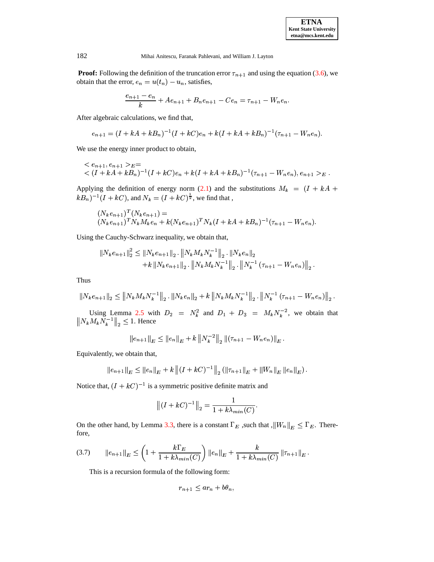**Proof:** Following the definition of the truncation error  $\tau_{n+1}$  and using the equation [\(3.6\)](#page-6-1), we obtain that the error,  $e_n = u(t_n) - u_n$ , satisfies,

$$
\frac{e_{n+1} - e_n}{k} + Ae_{n+1} + B_n e_{n+1} - Ce_n = \tau_{n+1} - W_n e_n.
$$

After algebraic calculations, we find that,

$$
e_{n+1} = (I + kA + kB_n)^{-1}(I + kC)e_n + k(I + kA + kB_n)^{-1}(\tau_{n+1} - W_n e_n).
$$

We use the energy inner product to obtain,

$$
\begin{aligned}\n&\lt; e_{n+1}, e_{n+1} >_{E} = \\
&\lt; (I + kA + kB_n)^{-1}(I + kC)e_n + k(I + kA + kB_n)^{-1}(\tau_{n+1} - W_n e_n), e_{n+1} >_{E}.\n\end{aligned}
$$

Applying the definition of energy norm [\(2.1\)](#page-2-1) and the substitutions  $M_k = (I + kA +$  $kB_n)^{-1}(I + kC)$ , and  $N_k = (I + kC)^{\frac{1}{2}}$ , we find that,

$$
(N_k e_{n+1})^T (N_k e_{n+1}) =
$$
  
\n
$$
(N_k e_{n+1})^T N_k M_k e_n + k (N_k e_{n+1})^T N_k (I + kA + kB_n)^{-1} (\tau_{n+1} - W_n e_n).
$$

Using the Cauchy-Schwarz inequality, we obtain that,

$$
\begin{aligned} \|N_{k}e_{n+1}\|_{2}^{2} &\leq \|N_{k}e_{n+1}\|_{2} \cdot \|N_{k}M_{k}N_{k}^{-1}\|_{2} \cdot \|N_{k}e_{n}\|_{2} \\ &+ k\left\|N_{k}e_{n+1}\right\|_{2} \cdot \left\|N_{k}M_{k}N_{k}^{-1}\right\|_{2} \cdot \left\|N_{k}^{-1}\left(\tau_{n+1}-W_{n}e_{n}\right)\right\|_{2} .\end{aligned}
$$

Thus

$$
||N_{k}e_{n+1}||_{2} \leq ||N_{k}M_{k}N_{k}^{-1}||_{2} \cdot ||N_{k}e_{n}||_{2} + k ||N_{k}M_{k}N_{k}^{-1}||_{2} \cdot ||N_{k}^{-1}(\tau_{n+1} - W_{n}e_{n})||_{2}.
$$

Using Lemma [2.5](#page-3-3) with  $D_2 = N_k^2$  and  $D_1 + D_3 = M_k N_k^{-2}$ , we obtain that  $\left\| N_k M_k N_k^{-1} \right\|_2 \leq 1$ . Hence

$$
||e_{n+1}||_E \leq ||e_n||_E + k ||N_k^{-2}||_2 ||(\tau_{n+1} - W_n e_n)||_E.
$$

Equivalently, we obtain that,

$$
|e_{n+1}||_E \le ||e_n||_E + k ||(I + kC)^{-1}||_2 (||\tau_{n+1}||_E + ||W_n||_E ||e_n||_E).
$$

Notice that,  $(I + kC)^{-1}$  is a symmetric positive definite matrix and

$$
||(I + kC)^{-1}||_2 = \frac{1}{1 + k\lambda_{min}(C)}.
$$

<span id="page-8-0"></span>On the other hand, by Lemma [3.3,](#page-6-2) there is a constant  $\Gamma_E$  , such that  $\|W_n\|_E \leq \Gamma_E$ . Therefore,

$$
(3.7) \qquad ||e_{n+1}||_E \le \left(1 + \frac{k\Gamma_E}{1 + k\lambda_{min}(C)}\right) ||e_n||_E + \frac{k}{1 + k\lambda_{min}(C)} ||\tau_{n+1}||_E.
$$

This is a recursion formula of the following form:

$$
r_{n+1} \le ar_n + b\theta_n,
$$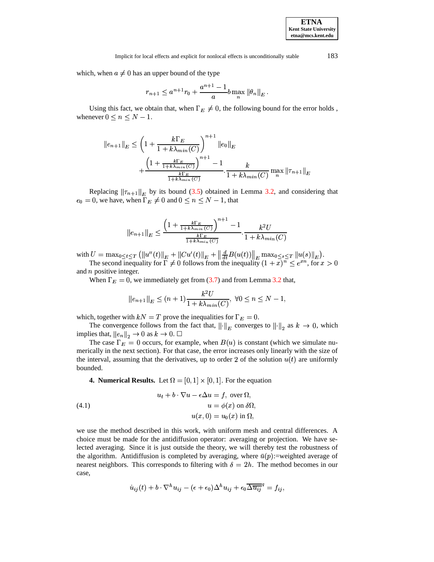which, when  $a \neq 0$  has an upper bound of the type

$$
r_{n+1} \le a^{n+1} r_0 + \frac{a^{n+1} - 1}{a} b \max_n ||\theta_n||_E.
$$

Using this fact, we obtain that, when  $\Gamma_E \neq 0$ , the following bound for the error holds, whenever  $0 \le n \le N - 1$ .

$$
||e_{n+1}||_E \le \left(1 + \frac{k\Gamma_E}{1 + k\lambda_{min}(C)}\right)^{n+1} ||e_0||_E
$$
  
+ 
$$
\frac{\left(1 + \frac{k\Gamma_E}{1 + k\lambda_{min}(C)}\right)^{n+1} - 1}{\frac{k\Gamma_E}{1 + k\lambda_{min}(C)}} \cdot \frac{k}{1 + k\lambda_{min}(C)} \max_{n} ||\tau_{n+1}||_E
$$

Replacing  $\|\tau_{n+1}\|_E$  by its bound [\(3.5\)](#page-6-3) obtained in Lemma [3.2,](#page-6-4) and considering that  $\mathbf{v}_0 = 0$ , we have, when  $\Gamma_E \neq 0$  and  $0 \leq n \leq N - 1$ , that

$$
||e_{n+1}||_E \le \frac{\left(1 + \frac{k\Gamma_E}{1 + k\lambda_{min}(C)}\right)^{n+1} - 1}{\frac{k\Gamma_E}{1 + k\lambda_{min}(C)}} \cdot \frac{k^2 U}{1 + k\lambda_{min}(C)}
$$

with  $U = \max_{0 \le t \le T} (||u''(t)||_E)$  $\left\|u^{\prime\prime}(t)\right\|_{E}+\left\|Cu^{\prime}(t)\right\|_{E}+\left\|\frac{d}{dt}B(u(t))\right\|_{E}\max_{0\leq s\leq T}\left\|u(s)\right\|_{E}\big).$ 

The second inequality for  $\Gamma \neq 0$  follows from the inequality  $(1+x)^n \leq e^{x n}$ , for  $x >$  $x_n$ , for  $x > 0$ and  $n$  positive integer.

When  $\Gamma_E = 0$ , we immediately get from [\(3.7\)](#page-8-0) and from Lemma [3.2](#page-6-4) that,

$$
||e_{n+1}||_E \le (n+1) \frac{k^2 U}{1 + k \lambda_{min}(C)}, \ \forall 0 \le n \le N-1,
$$

which, together with  $kN = T$  prove the inequalities for  $\Gamma_E = 0$ .

The convergence follows from the fact that,  $\left\| \cdot \right\|_E$  converges to  $\left\| \cdot \right\|_2$  as  $k \to 0$ , which implies that,  $||e_n||_2 \to 0$  as  $k \to 0$ .  $\Box$ 

The case  $\Gamma_E = 0$  occurs, for example, when  $B(u)$  is constant (which we simulate numerically in the next section). For that case, the error increases only linearly with the size of the interval, assuming that the derivatives, up to order 2 of the solution  $u(t)$  are uniformly bounded.

<span id="page-9-0"></span>**4. Numerical Results.** Let  $\Omega = [0, 1] \times [0, 1]$ . For the equation

(4.1) 
$$
u_t + b \cdot \nabla u - \epsilon \Delta u = f, \text{ over } \Omega,
$$

$$
u = \phi(x) \text{ on } \delta \Omega,
$$

$$
u(x, 0) = u_0(x) \text{ in } \Omega,
$$

we use the method described in this work, with uniform mesh and central differences. A choice must be made for the antidiffusion operator: averaging or projection. We have selected averaging. Since it is just outside the theory, we will thereby test the robustness of the algorithm. Antidiffusion is completed by averaging, where  $\bar{u}(p)$ :=weighted average of nearest neighbors. This corresponds to filtering with  $\delta = 2h$ . The method becomes in our case,

$$
\dot{u}_{ij}(t) + b \cdot \nabla^h u_{ij} - (\epsilon + \epsilon_0) \Delta^h u_{ij} + \epsilon_0 \overline{\Delta \overline{u_{ij}}}^q = f_{ij},
$$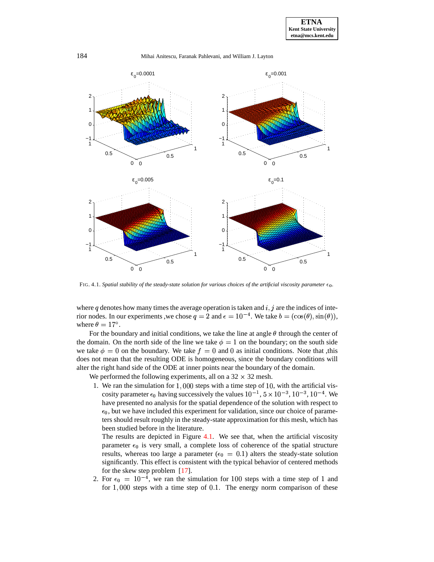

<span id="page-10-0"></span>FIG. 4.1. *Spatial stability of the steady-state solution for various choices of the artificial viscosity parameter*  $\epsilon_0$ *.* 

where q denotes how many times the average operation is taken and  $i, j$  are the indices of interior nodes. In our experiments, we chose  $q = 2$  and  $\epsilon = 10^{-4}$ . We take  $b = (\cos(\theta), \sin(\theta)),$ where  $\theta = 17^{\circ}$ .

For the boundary and initial conditions, we take the line at angle  $\theta$  through the center of the domain. On the north side of the line we take  $\phi = 1$  on the boundary; on the south side we take  $\phi = 0$  on the boundary. We take  $f = 0$  and 0 as initial conditions. Note that ,this does not mean that the resulting ODE is homogeneous, since the boundary conditions will alter the right hand side of the ODE at inner points near the boundary of the domain.

We performed the following experiments, all on a  $32 \times 32$  mesh.

1. We ran the simulation for  $1,000$  steps with a time step of 10, with the artificial viscosity parameter  $\epsilon_0$  having successively the values  $10^{-1}$ ,  $5 \times 10^{-3}$ ,  $10^{-3}$ ,  $10^{-4}$ . We have presented no analysis for the spatial dependence of the solution with respect to  $\epsilon_0$ , but we have included this experiment for validation, since our choice of parameters should result roughly in the steady-state approximation for this mesh, which has been studied before in the literature.

The results are depicted in Figure [4.1.](#page-10-0) We see that, when the artificial viscosity parameter  $\epsilon_0$  is very small, a complete loss of coherence of the spatial structure results, whereas too large a parameter ( $\epsilon_0 = 0.1$ ) alters the steady-state solution significantly. This effect is consistent with the typical behavior of centered methods for the skew step problem [\[17\]](#page-13-16).

2. For  $\epsilon_0 = 10^{-4}$ , we ran the simulation for 100 steps with a time step of 1 and for  $1,000$  steps with a time step of  $0.1$ . The energy norm comparison of these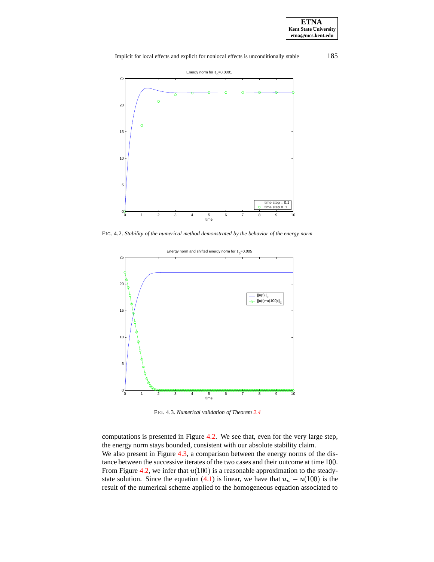Implicit for local effects and explicit for nonlocal effects is unconditionally stable 185



<span id="page-11-0"></span>FIG. 4.2. *Stability of the numerical method demonstrated by the behavior of the energy norm*



<span id="page-11-1"></span>FIG. 4.3. *Numerical validation of Theorem [2.4](#page-2-0)*

computations is presented in Figure [4.2.](#page-11-0) We see that, even for the very large step, the energy norm stays bounded, consistent with our absolute stability claim. We also present in Figure [4.3,](#page-11-1) a comparison between the energy norms of the distance between the successive iterates of the two cases and their outcome at time 100. From Figure [4.2,](#page-11-0) we infer that  $u(100)$  is a reasonable approximation to the steady-state solution. Since the equation [\(4.1\)](#page-9-0) is linear, we have that  $u_n - u(100)$  is the result of the numerical scheme applied to the homogeneous equation associated to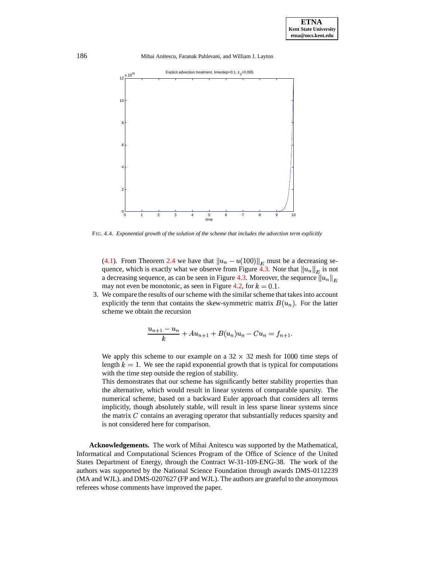186 Mihai Anitescu, Faranak Pahlevani, and William J. Layton



FIG. 4.4. *Exponential growth of the solution of the scheme that includes the advection term explicitly*

[\(4.1\)](#page-9-0). From Theorem [2.4](#page-2-0) we have that  $||u_n - u(100)||_E$  must be a decreasing se-quence, which is exactly what we observe from Figure [4.3.](#page-11-1) Note that  $||u_n||_E$  is not a decreasing sequence, as can be seen in Figure [4.3.](#page-11-1) Moreover, the sequence  $\left\| u_n \right\|_E$ may not even be monotonic, as seen in Figure [4.2,](#page-11-0) for  $k = 0.1$ .

3. We compare the results of ourscheme with the similar scheme that takes into account explicitly the term that contains the skew-symmetric matrix  $B(u_n)$ . For the latter scheme we obtain the recursion

$$
\frac{u_{n+1} - u_n}{k} + Au_{n+1} + B(u_n)u_n - Cu_n = f_{n+1}.
$$

We apply this scheme to our example on a  $32 \times 32$  mesh for 1000 time steps of length  $k = 1$ . We see the rapid exponential growth that is typical for computations with the time step outside the region of stability.

This demonstrates that our scheme has significantly better stability properties than the alternative, which would result in linear systems of comparable sparsity. The numerical scheme, based on a backward Euler approach that considers all terms implicitly, though absolutely stable, will result in less sparse linear systems since the matrix  $C$  contains an averaging operator that substantially reduces sparsity and is not considered here for comparison.

**Acknowledgements.** The work of Mihai Anitescu was supported by the Mathematical, Informatical and Computational Sciences Program of the Office of Science of the United States Department of Energy, through the Contract W-31-109-ENG-38. The work of the authors was supported by the National Science Foundation through awards DMS-0112239 (MA and WJL). and DMS-0207627 (FP and WJL). The authors are grateful to the anonymous referees whose comments have improved the paper.